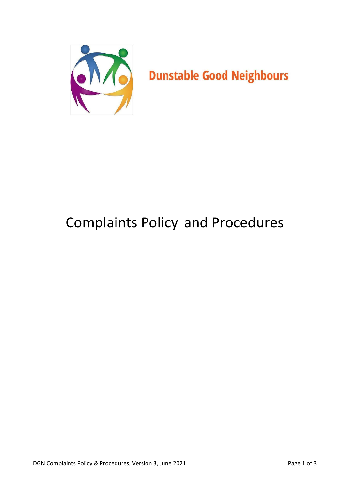

# Complaints Policy and Procedures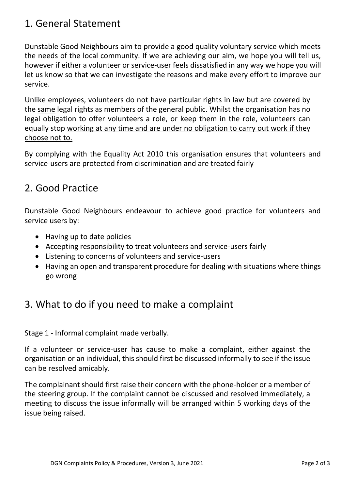# 1. General Statement

Dunstable Good Neighbours aim to provide a good quality voluntary service which meets the needs of the local community. If we are achieving our aim, we hope you will tell us, however if either a volunteer or service-user feels dissatisfied in any way we hope you will let us know so that we can investigate the reasons and make every effort to improve our service.

Unlike employees, volunteers do not have particular rights in law but are covered by the same legal rights as members of the general public. Whilst the organisation has no legal obligation to offer volunteers a role, or keep them in the role, volunteers can equally stop working at any time and are under no obligation to carry out work if they choose not to.

By complying with the Equality Act 2010 this organisation ensures that volunteers and service-users are protected from discrimination and are treated fairly

### 2. Good Practice

Dunstable Good Neighbours endeavour to achieve good practice for volunteers and service users by:

- Having up to date policies
- Accepting responsibility to treat volunteers and service-users fairly
- Listening to concerns of volunteers and service-users
- Having an open and transparent procedure for dealing with situations where things go wrong

# 3. What to do if you need to make a complaint

Stage 1 - Informal complaint made verbally.

If a volunteer or service-user has cause to make a complaint, either against the organisation or an individual, this should first be discussed informally to see if the issue can be resolved amicably.

The complainant should first raise their concern with the phone-holder or a member of the steering group. If the complaint cannot be discussed and resolved immediately, a meeting to discuss the issue informally will be arranged within 5 working days of the issue being raised.